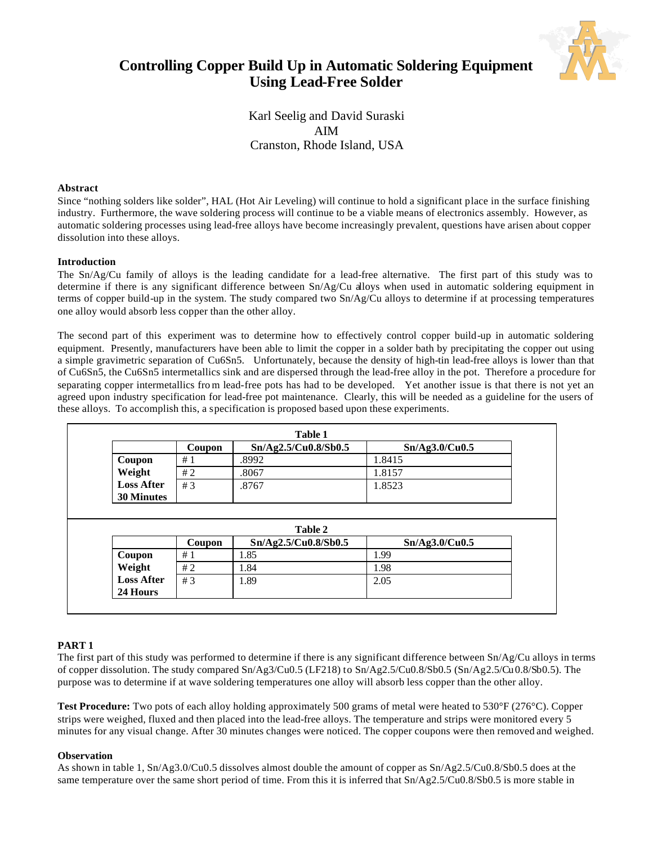



Karl Seelig and David Suraski AIM Cranston, Rhode Island, USA

## **Abstract**

Since "nothing solders like solder", HAL (Hot Air Leveling) will continue to hold a significant place in the surface finishing industry. Furthermore, the wave soldering process will continue to be a viable means of electronics assembly. However, as automatic soldering processes using lead-free alloys have become increasingly prevalent, questions have arisen about copper dissolution into these alloys.

## **Introduction**

The Sn/Ag/Cu family of alloys is the leading candidate for a lead-free alternative. The first part of this study was to determine if there is any significant difference between Sn/Ag/Cu alloys when used in automatic soldering equipment in terms of copper build-up in the system. The study compared two Sn/Ag/Cu alloys to determine if at processing temperatures one alloy would absorb less copper than the other alloy.

The second part of this experiment was to determine how to effectively control copper build-up in automatic soldering equipment. Presently, manufacturers have been able to limit the copper in a solder bath by precipitating the copper out using a simple gravimetric separation of Cu6Sn5. Unfortunately, because the density of high-tin lead-free alloys is lower than that of Cu6Sn5, the Cu6Sn5 intermetallics sink and are dispersed through the lead-free alloy in the pot. Therefore a procedure for separating copper intermetallics fro m lead-free pots has had to be developed. Yet another issue is that there is not yet an agreed upon industry specification for lead-free pot maintenance. Clearly, this will be needed as a guideline for the users of these alloys. To accomplish this, a specification is proposed based upon these experiments.

| <b>Table 1</b>    |        |                      |                |  |
|-------------------|--------|----------------------|----------------|--|
|                   | Coupon | Sn/Ag2.5/Cu0.8/Sb0.5 | Sn/Ag3.0/Cu0.5 |  |
| Coupon            | #1     | .8992                | 1.8415         |  |
| Weight            | #2     | .8067                | .8157          |  |
| <b>Loss After</b> | #3     | .8767                | 1.8523         |  |
| <b>30 Minutes</b> |        |                      |                |  |

|                   | Coupon | Sn/Ag2.5/Cu0.8/Sb0.5 | Sn/Ag3.0/Cu0.5 |
|-------------------|--------|----------------------|----------------|
| Coupon            | #1     | l.85                 | 1.99           |
| Weight            | #2     | .84                  | 1.98           |
| <b>Loss After</b> | #3     | .89                  | 2.05           |
| 24 Hours          |        |                      |                |

# **PART 1**

The first part of this study was performed to determine if there is any significant difference between Sn/Ag/Cu alloys in terms of copper dissolution. The study compared Sn/Ag3/Cu0.5 (LF218) to Sn/Ag2.5/Cu0.8/Sb0.5 (Sn/Ag2.5/Cu0.8/Sb0.5). The purpose was to determine if at wave soldering temperatures one alloy will absorb less copper than the other alloy.

**Test Procedure:** Two pots of each alloy holding approximately 500 grams of metal were heated to 530°F (276°C). Copper strips were weighed, fluxed and then placed into the lead-free alloys. The temperature and strips were monitored every 5 minutes for any visual change. After 30 minutes changes were noticed. The copper coupons were then removed and weighed.

## **Observation**

As shown in table 1, Sn/Ag3.0/Cu0.5 dissolves almost double the amount of copper as Sn/Ag2.5/Cu0.8/Sb0.5 does at the same temperature over the same short period of time. From this it is inferred that Sn/Ag2.5/Cu0.8/Sb0.5 is more stable in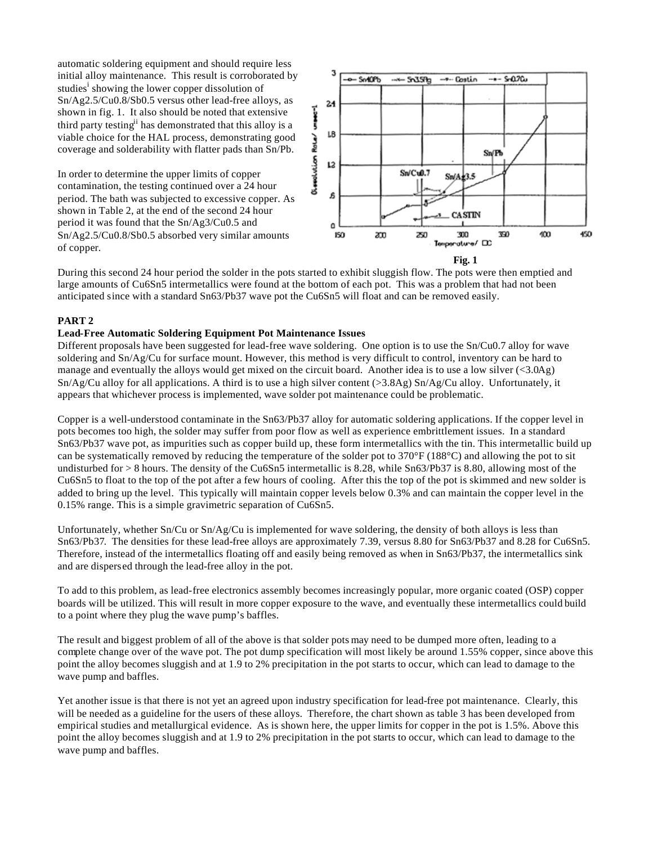automatic soldering equipment and should require less initial alloy maintenance. This result is corroborated by studies<sup>i</sup> showing the lower copper dissolution of Sn/Ag2.5/Cu0.8/Sb0.5 versus other lead-free alloys, as shown in fig. 1. It also should be noted that extensive third party testing<sup>ii</sup> has demonstrated that this alloy is a viable choice for the HAL process, demonstrating good coverage and solderability with flatter pads than Sn/Pb.

In order to determine the upper limits of copper contamination, the testing continued over a 24 hour period. The bath was subjected to excessive copper. As shown in Table 2, at the end of the second 24 hour period it was found that the Sn/Ag3/Cu0.5 and Sn/Ag2.5/Cu0.8/Sb0.5 absorbed very similar amounts of copper.



During this second 24 hour period the solder in the pots started to exhibit sluggish flow. The pots were then emptied and large amounts of Cu6Sn5 intermetallics were found at the bottom of each pot. This was a problem that had not been anticipated since with a standard Sn63/Pb37 wave pot the Cu6Sn5 will float and can be removed easily.

## **PART 2**

## **Lead-Free Automatic Soldering Equipment Pot Maintenance Issues**

Different proposals have been suggested for lead-free wave soldering. One option is to use the Sn/Cu0.7 alloy for wave soldering and Sn/Ag/Cu for surface mount. However, this method is very difficult to control, inventory can be hard to manage and eventually the alloys would get mixed on the circuit board. Another idea is to use a low silver (<3.0Ag)  $Sn/Ag/Cu$  alloy for all applications. A third is to use a high silver content ( $>3.8Ag$ )  $Sn/Ag/Cu$  alloy. Unfortunately, it appears that whichever process is implemented, wave solder pot maintenance could be problematic.

Copper is a well-understood contaminate in the Sn63/Pb37 alloy for automatic soldering applications. If the copper level in pots becomes too high, the solder may suffer from poor flow as well as experience embrittlement issues. In a standard Sn63/Pb37 wave pot, as impurities such as copper build up, these form intermetallics with the tin. This intermetallic build up can be systematically removed by reducing the temperature of the solder pot to 370°F (188°C) and allowing the pot to sit undisturbed for > 8 hours. The density of the Cu6Sn5 intermetallic is 8.28, while Sn63/Pb37 is 8.80, allowing most of the Cu6Sn5 to float to the top of the pot after a few hours of cooling. After this the top of the pot is skimmed and new solder is added to bring up the level. This typically will maintain copper levels below 0.3% and can maintain the copper level in the 0.15% range. This is a simple gravimetric separation of Cu6Sn5.

Unfortunately, whether  $\text{Sn/Cu}$  or  $\text{Sn/Ag/Cu}$  is implemented for wave soldering, the density of both alloys is less than Sn63/Pb37. The densities for these lead-free alloys are approximately 7.39, versus 8.80 for Sn63/Pb37 and 8.28 for Cu6Sn5. Therefore, instead of the intermetallics floating off and easily being removed as when in Sn63/Pb37, the intermetallics sink and are dispersed through the lead-free alloy in the pot.

To add to this problem, as lead-free electronics assembly becomes increasingly popular, more organic coated (OSP) copper boards will be utilized. This will result in more copper exposure to the wave, and eventually these intermetallics could build to a point where they plug the wave pump's baffles.

The result and biggest problem of all of the above is that solder pots may need to be dumped more often, leading to a complete change over of the wave pot. The pot dump specification will most likely be around 1.55% copper, since above this point the alloy becomes sluggish and at 1.9 to 2% precipitation in the pot starts to occur, which can lead to damage to the wave pump and baffles.

Yet another issue is that there is not yet an agreed upon industry specification for lead-free pot maintenance. Clearly, this will be needed as a guideline for the users of these alloys. Therefore, the chart shown as table 3 has been developed from empirical studies and metallurgical evidence. As is shown here, the upper limits for copper in the pot is 1.5%. Above this point the alloy becomes sluggish and at 1.9 to 2% precipitation in the pot starts to occur, which can lead to damage to the wave pump and baffles.